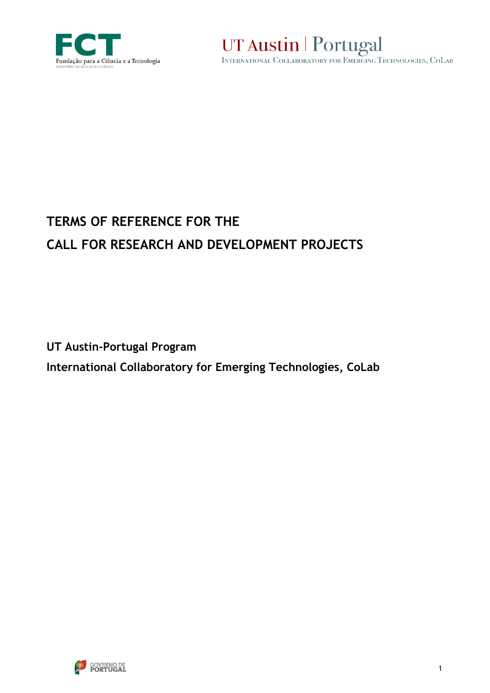

UT Austin Portugal

# **TERMS OF REFERENCE FOR THE CALL FOR RESEARCH AND DEVELOPMENT PROJECTS**

**UT Austin-Portugal Program International Collaboratory for Emerging Technologies, CoLab**

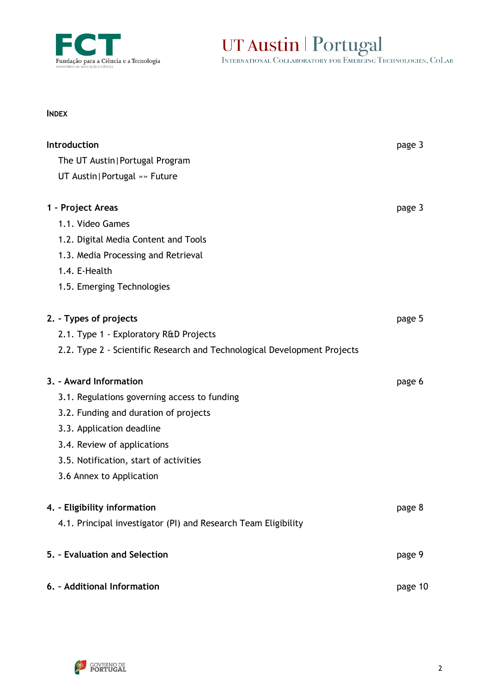

UT Austin | Portugal

# **INDEX**

| Introduction                                                                                       | page 3  |                              |        |
|----------------------------------------------------------------------------------------------------|---------|------------------------------|--------|
| The UT Austin   Portugal Program                                                                   |         |                              |        |
| UT Austin   Portugal » » Future                                                                    |         |                              |        |
| 1 - Project Areas                                                                                  | page 3  |                              |        |
| 1.1. Video Games                                                                                   |         |                              |        |
| 1.2. Digital Media Content and Tools                                                               |         |                              |        |
| 1.3. Media Processing and Retrieval                                                                |         |                              |        |
| 1.4. E-Health                                                                                      |         |                              |        |
| 1.5. Emerging Technologies                                                                         |         |                              |        |
| 2. - Types of projects                                                                             | page 5  |                              |        |
| 2.1. Type 1 - Exploratory R&D Projects                                                             |         |                              |        |
| 2.2. Type 2 - Scientific Research and Technological Development Projects                           |         |                              |        |
| 3. - Award Information                                                                             | page 6  |                              |        |
| 3.1. Regulations governing access to funding                                                       |         |                              |        |
| 3.2. Funding and duration of projects                                                              |         |                              |        |
| 3.3. Application deadline<br>3.4. Review of applications<br>3.5. Notification, start of activities |         |                              |        |
|                                                                                                    |         | 3.6 Annex to Application     |        |
|                                                                                                    |         | 4. - Eligibility information | page 8 |
| 4.1. Principal investigator (PI) and Research Team Eligibility                                     |         |                              |        |
| 5. - Evaluation and Selection                                                                      | page 9  |                              |        |
| 6. - Additional Information                                                                        | page 10 |                              |        |

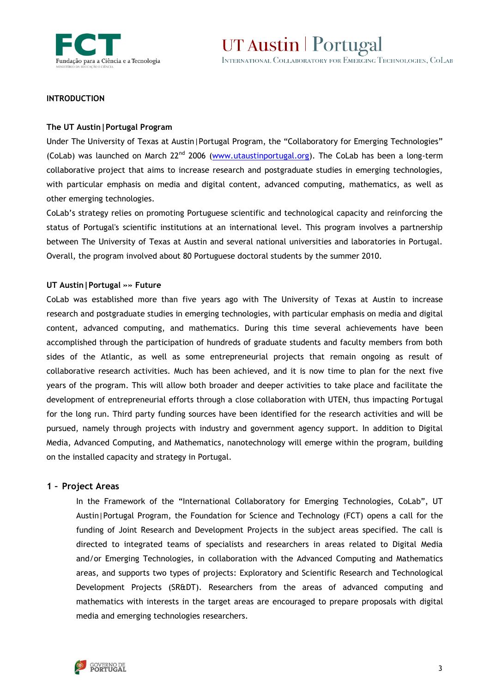

UT Austin | Portugal INTERNATIONAL COLLABORATORY FOR EMERGING TECHNOLOGIES, COLAB

#### **INTRODUCTION**

#### **The UT Austin|Portugal Program**

Under The University of Texas at Austin|Portugal Program, the "Collaboratory for Emerging Technologies" (CoLab) was launched on March 22<sup>nd</sup> 2006 [\(www.utaustinportugal.org\)](http://www.utaustinportugal.org/). The CoLab has been a long-term collaborative project that aims to increase research and postgraduate studies in emerging technologies, with particular emphasis on media and digital content, advanced computing, mathematics, as well as other emerging technologies.

CoLab's strategy relies on promoting Portuguese scientific and technological capacity and reinforcing the status of Portugal's scientific institutions at an international level. This program involves a partnership between The University of Texas at Austin and several national universities and laboratories in Portugal. Overall, the program involved about 80 Portuguese doctoral students by the summer 2010.

## **UT Austin|Portugal »» Future**

CoLab was established more than five years ago with The University of Texas at Austin to increase research and postgraduate studies in emerging technologies, with particular emphasis on media and digital content, advanced computing, and mathematics. During this time several achievements have been accomplished through the participation of hundreds of graduate students and faculty members from both sides of the Atlantic, as well as some entrepreneurial projects that remain ongoing as result of collaborative research activities. Much has been achieved, and it is now time to plan for the next five years of the program. This will allow both broader and deeper activities to take place and facilitate the development of entrepreneurial efforts through a close collaboration with UTEN, thus impacting Portugal for the long run. Third party funding sources have been identified for the research activities and will be pursued, namely through projects with industry and government agency support. In addition to Digital Media, Advanced Computing, and Mathematics, nanotechnology will emerge within the program, building on the installed capacity and strategy in Portugal.

#### **1 – Project Areas**

In the Framework of the "International Collaboratory for Emerging Technologies, CoLab", UT Austin|Portugal Program, the Foundation for Science and Technology (FCT) opens a call for the funding of Joint Research and Development Projects in the subject areas specified. The call is directed to integrated teams of specialists and researchers in areas related to Digital Media and/or Emerging Technologies, in collaboration with the Advanced Computing and Mathematics areas, and supports two types of projects: Exploratory and Scientific Research and Technological Development Projects (SR&DT). Researchers from the areas of advanced computing and mathematics with interests in the target areas are encouraged to prepare proposals with digital media and emerging technologies researchers.

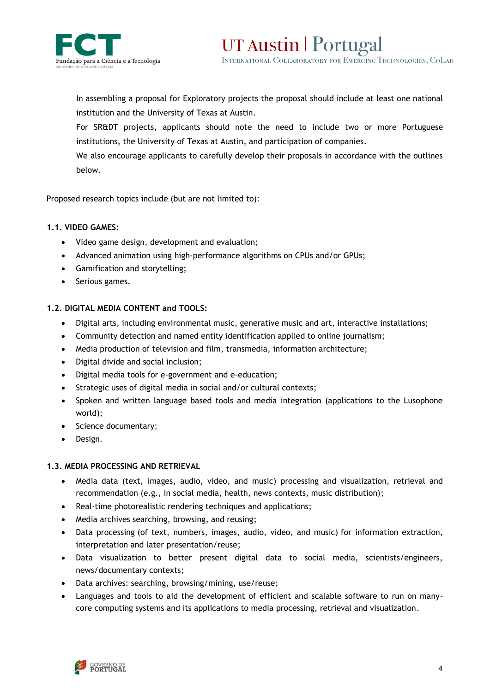

UT Austin | Portugal INTERNATIONAL COLLABORATORY FOR EMERGING TECHNOLOGIES, COLAB

In assembling a proposal for Exploratory projects the proposal should include at least one national institution and the University of Texas at Austin.

For SR&DT projects, applicants should note the need to include two or more Portuguese institutions, the University of Texas at Austin, and participation of companies.

We also encourage applicants to carefully develop their proposals in accordance with the outlines below.

Proposed research topics include (but are not limited to):

# **1.1. VIDEO GAMES:**

- Video game design, development and evaluation;
- Advanced animation using high-performance algorithms on CPUs and/or GPUs;
- Gamification and storytelling;
- Serious games.

# **1.2. DIGITAL MEDIA CONTENT and TOOLS:**

- Digital arts, including environmental music, generative music and art, interactive installations;
- Community detection and named entity identification applied to online journalism;
- Media production of television and film, transmedia, information architecture;
- Digital divide and social inclusion;
- Digital media tools for e-government and e-education;
- Strategic uses of digital media in social and/or cultural contexts;
- Spoken and written language based tools and media integration (applications to the Lusophone world);
- Science documentary;
- Design.

## **1.3. MEDIA PROCESSING AND RETRIEVAL**

- Media data (text, images, audio, video, and music) processing and visualization, retrieval and recommendation (e.g., in social media, health, news contexts, music distribution);
- Real-time photorealistic rendering techniques and applications;
- Media archives searching, browsing, and reusing;
- Data processing (of text, numbers, images, audio, video, and music) for information extraction, interpretation and later presentation/reuse;
- Data visualization to better present digital data to social media, scientists/engineers, news/documentary contexts;
- Data archives: searching, browsing/mining, use/reuse;
- Languages and tools to aid the development of efficient and scalable software to run on manycore computing systems and its applications to media processing, retrieval and visualization.

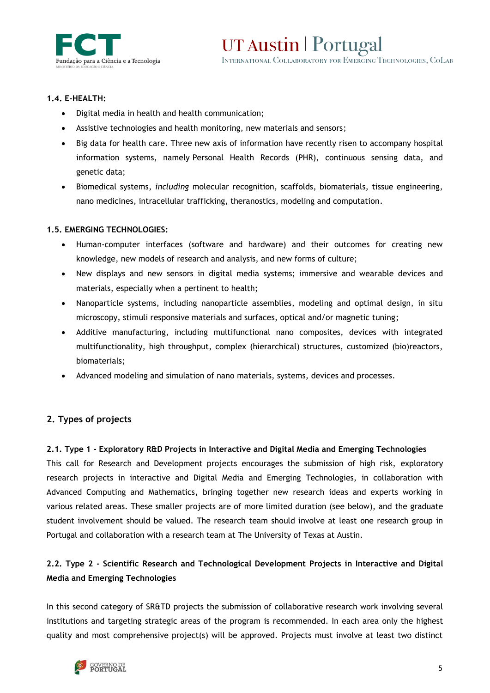

# **1.4. E-HEALTH:**

- Digital media in health and health communication;
- Assistive technologies and health monitoring, new materials and sensors;
- Big data for health care. Three new axis of information have recently risen to accompany hospital information systems, namely Personal Health Records (PHR), continuous sensing data, and genetic data;
- Biomedical systems, *including* molecular recognition, scaffolds, biomaterials, tissue engineering, nano medicines, intracellular trafficking, theranostics, modeling and computation.

## **1.5. EMERGING TECHNOLOGIES:**

- Human-computer interfaces (software and hardware) and their outcomes for creating new knowledge, new models of research and analysis, and new forms of culture;
- New displays and new sensors in digital media systems; immersive and wearable devices and materials, especially when a pertinent to health;
- Nanoparticle systems, including nanoparticle assemblies, modeling and optimal design, in situ microscopy, stimuli responsive materials and surfaces, optical and/or magnetic tuning;
- Additive manufacturing, including multifunctional nano composites, devices with integrated multifunctionality, high throughput, complex (hierarchical) structures, customized (bio)reactors, biomaterials;
- Advanced modeling and simulation of nano materials, systems, devices and processes.

# **2. Types of projects**

## **2.1. Type 1 - Exploratory R&D Projects in Interactive and Digital Media and Emerging Technologies**

This call for Research and Development projects encourages the submission of high risk, exploratory research projects in interactive and Digital Media and Emerging Technologies, in collaboration with Advanced Computing and Mathematics, bringing together new research ideas and experts working in various related areas. These smaller projects are of more limited duration (see below), and the graduate student involvement should be valued. The research team should involve at least one research group in Portugal and collaboration with a research team at The University of Texas at Austin.

# **2.2. Type 2 - Scientific Research and Technological Development Projects in Interactive and Digital Media and Emerging Technologies**

In this second category of SR&TD projects the submission of collaborative research work involving several institutions and targeting strategic areas of the program is recommended. In each area only the highest quality and most comprehensive project(s) will be approved. Projects must involve at least two distinct

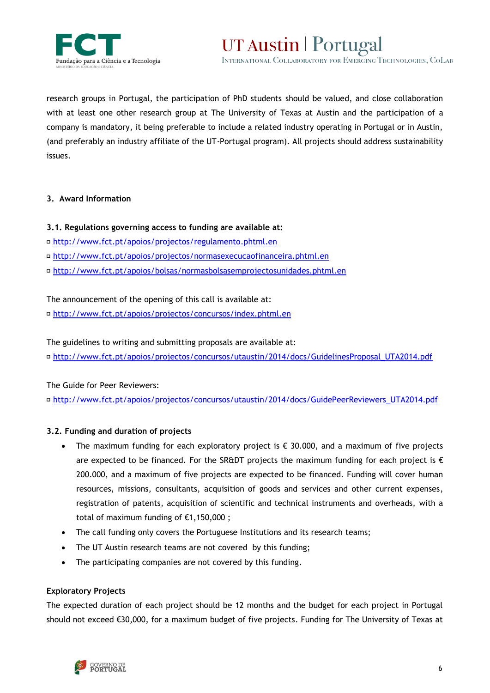

research groups in Portugal, the participation of PhD students should be valued, and close collaboration with at least one other research group at The University of Texas at Austin and the participation of a company is mandatory, it being preferable to include a related industry operating in Portugal or in Austin, (and preferably an industry affiliate of the UT-Portugal program). All projects should address sustainability issues.

# **3. Award Information**

# **3.1. Regulations governing access to funding are available at:**

- <http://www.fct.pt/apoios/projectos/regulamento.phtml.en>
- <http://www.fct.pt/apoios/projectos/normasexecucaofinanceira.phtml.en>
- <http://www.fct.pt/apoios/bolsas/normasbolsasemprojectosunidades.phtml.en>

The announcement of the opening of this call is available at:

<http://www.fct.pt/apoios/projectos/concursos/index.phtml.en>

The guidelines to writing and submitting proposals are available at: [http://www.fct.pt/apoios/projectos/concursos/utaustin/2014/docs/GuidelinesProposal\\_UTA2014.pdf](http://www.fct.pt/apoios/projectos/concursos/utaustin/2014/docs/GuidelinesProposal_UTA2014.pdf)

The Guide for Peer Reviewers:

[http://www.fct.pt/apoios/projectos/concursos/utaustin/2014/docs/GuidePeerReviewers\\_UTA2014.pdf](http://www.fct.pt/apoios/projectos/concursos/utaustin/2014/docs/GuidePeerReviewers_UTA2014.pdf)

# **3.2. Funding and duration of projects**

- The maximum funding for each exploratory project is  $\epsilon$  30.000, and a maximum of five projects are expected to be financed. For the SR&DT projects the maximum funding for each project is  $\epsilon$ 200.000, and a maximum of five projects are expected to be financed. Funding will cover human resources, missions, consultants, acquisition of goods and services and other current expenses, registration of patents, acquisition of scientific and technical instruments and overheads, with a total of maximum funding of €1,150,000 ;
- The call funding only covers the Portuguese Institutions and its research teams;
- The UT Austin research teams are not covered by this funding;
- The participating companies are not covered by this funding.

## **Exploratory Projects**

The expected duration of each project should be 12 months and the budget for each project in Portugal should not exceed €30,000, for a maximum budget of five projects. Funding for The University of Texas at

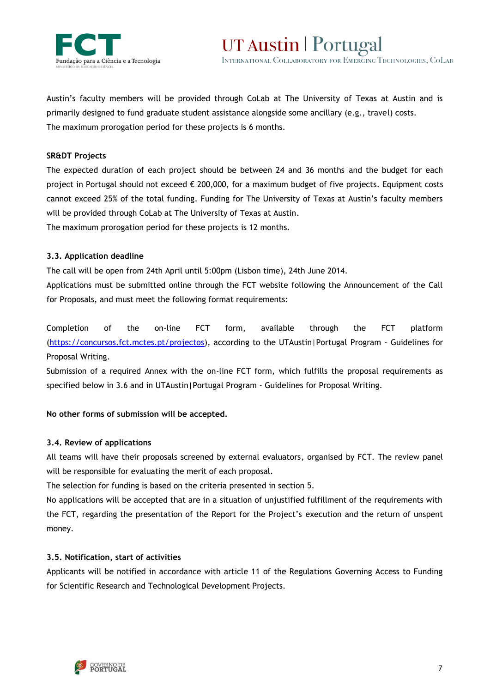

Austin's faculty members will be provided through CoLab at The University of Texas at Austin and is primarily designed to fund graduate student assistance alongside some ancillary (e.g., travel) costs. The maximum prorogation period for these projects is 6 months.

# **SR&DT Projects**

The expected duration of each project should be between 24 and 36 months and the budget for each project in Portugal should not exceed € 200,000, for a maximum budget of five projects. Equipment costs cannot exceed 25% of the total funding. Funding for The University of Texas at Austin's faculty members will be provided through CoLab at The University of Texas at Austin. The maximum prorogation period for these projects is 12 months.

# **3.3. Application deadline**

The call will be open from 24th April until 5:00pm (Lisbon time), 24th June 2014.

Applications must be submitted online through the FCT website following the Announcement of the Call for Proposals, and must meet the following format requirements:

Completion of the on-line FCT form, available through the FCT platform [\(https://concursos.fct.mctes.pt/projectos\)](https://concursos.fct.mctes.pt/projectos), according to the UTAustin|Portugal Program - Guidelines for Proposal Writing.

Submission of a required Annex with the on-line FCT form, which fulfills the proposal requirements as specified below in 3.6 and in UTAustin|Portugal Program - Guidelines for Proposal Writing.

# **No other forms of submission will be accepted.**

## **3.4. Review of applications**

All teams will have their proposals screened by external evaluators, organised by FCT. The review panel will be responsible for evaluating the merit of each proposal.

The selection for funding is based on the criteria presented in section 5.

No applications will be accepted that are in a situation of unjustified fulfillment of the requirements with the FCT, regarding the presentation of the Report for the Project's execution and the return of unspent money.

## **3.5. Notification, start of activities**

Applicants will be notified in accordance with article 11 of the Regulations Governing Access to Funding for Scientific Research and Technological Development Projects.

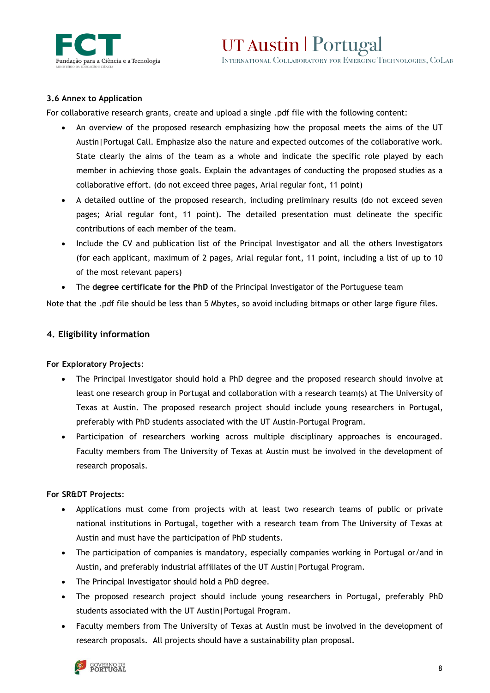

# **3.6 Annex to Application**

For collaborative research grants, create and upload a single .pdf file with the following content:

- An overview of the proposed research emphasizing how the proposal meets the aims of the UT Austin|Portugal Call. Emphasize also the nature and expected outcomes of the collaborative work. State clearly the aims of the team as a whole and indicate the specific role played by each member in achieving those goals. Explain the advantages of conducting the proposed studies as a collaborative effort. (do not exceed three pages, Arial regular font, 11 point)
- A detailed outline of the proposed research, including preliminary results (do not exceed seven pages; Arial regular font, 11 point). The detailed presentation must delineate the specific contributions of each member of the team.
- Include the CV and publication list of the Principal Investigator and all the others Investigators (for each applicant, maximum of 2 pages, Arial regular font, 11 point, including a list of up to 10 of the most relevant papers)
- The **degree certificate for the PhD** of the Principal Investigator of the Portuguese team

Note that the .pdf file should be less than 5 Mbytes, so avoid including bitmaps or other large figure files.

# **4. Eligibility information**

**For Exploratory Projects**:

- The Principal Investigator should hold a PhD degree and the proposed research should involve at least one research group in Portugal and collaboration with a research team(s) at The University of Texas at Austin. The proposed research project should include young researchers in Portugal, preferably with PhD students associated with the UT Austin-Portugal Program.
- Participation of researchers working across multiple disciplinary approaches is encouraged. Faculty members from The University of Texas at Austin must be involved in the development of research proposals.

## **For SR&DT Projects**:

- Applications must come from projects with at least two research teams of public or private national institutions in Portugal, together with a research team from The University of Texas at Austin and must have the participation of PhD students.
- The participation of companies is mandatory, especially companies working in Portugal or/and in Austin, and preferably industrial affiliates of the UT Austin|Portugal Program.
- The Principal Investigator should hold a PhD degree.
- The proposed research project should include young researchers in Portugal, preferably PhD students associated with the UT Austin|Portugal Program.
- Faculty members from The University of Texas at Austin must be involved in the development of research proposals. All projects should have a sustainability plan proposal.

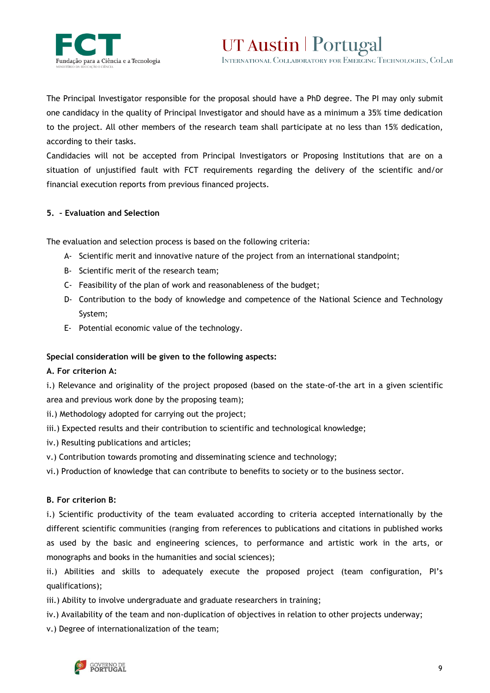

UT Austin | Portugal INTERNATIONAL COLLABORATORY FOR EMERGING TECHNOLOGIES, COLAB

The Principal Investigator responsible for the proposal should have a PhD degree. The PI may only submit one candidacy in the quality of Principal Investigator and should have as a minimum a 35% time dedication to the project. All other members of the research team shall participate at no less than 15% dedication, according to their tasks.

Candidacies will not be accepted from Principal Investigators or Proposing Institutions that are on a situation of unjustified fault with FCT requirements regarding the delivery of the scientific and/or financial execution reports from previous financed projects.

# **5. – Evaluation and Selection**

The evaluation and selection process is based on the following criteria:

- A- Scientific merit and innovative nature of the project from an international standpoint;
- B- Scientific merit of the research team;
- C- Feasibility of the plan of work and reasonableness of the budget;
- D- Contribution to the body of knowledge and competence of the National Science and Technology System;
- E- Potential economic value of the technology.

## **Special consideration will be given to the following aspects:**

## **A. For criterion A:**

i.) Relevance and originality of the project proposed (based on the state-of-the art in a given scientific area and previous work done by the proposing team);

- ii.) Methodology adopted for carrying out the project;
- iii.) Expected results and their contribution to scientific and technological knowledge;
- iv.) Resulting publications and articles;
- v.) Contribution towards promoting and disseminating science and technology;
- vi.) Production of knowledge that can contribute to benefits to society or to the business sector.

# **B. For criterion B:**

i.) Scientific productivity of the team evaluated according to criteria accepted internationally by the different scientific communities (ranging from references to publications and citations in published works as used by the basic and engineering sciences, to performance and artistic work in the arts, or monographs and books in the humanities and social sciences);

ii.) Abilities and skills to adequately execute the proposed project (team configuration, PI's qualifications);

- iii.) Ability to involve undergraduate and graduate researchers in training;
- iv.) Availability of the team and non-duplication of objectives in relation to other projects underway;
- v.) Degree of internationalization of the team;